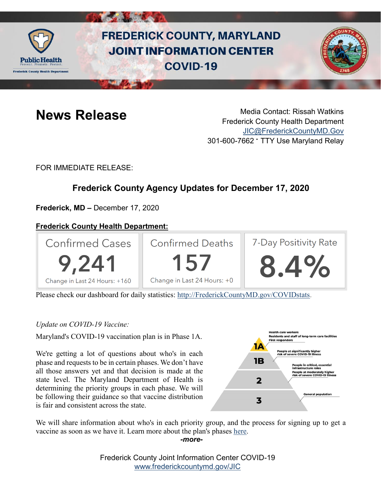

# **FREDERICK COUNTY, MARYLAND JOINT INFORMATION CENTER COVID-19**



**News Release** Media Contact: Rissah Watkins Frederick County Health Department [JIC@FrederickCountyMD.Gov](mailto:JIC@FrederickCountyMD.Gov) 301-600-7662 • TTY Use Maryland Relay

FOR IMMEDIATE RELEASE:

# **Frederick County Agency Updates for December 17, 2020**

**Frederick, MD –** December 17, 2020

## **Frederick County Health Department:**



Please check our dashboard for daily statistics: [http://FrederickCountyMD.gov/COVIDstats.](http://frederickcountymd.gov/COVIDstats)

#### *Update on COVID-19 Vaccine:*

Maryland's COVID-19 vaccination plan is in Phase 1A.

We're getting a lot of questions about who's in each phase and requests to be in certain phases. We don't have all those answers yet and that decision is made at the state level. The Maryland Department of Health is determining the priority groups in each phase. We will be following their guidance so that vaccine distribution is fair and consistent across the state.



We will share information about who's in each priority group, and the process for signing up to get a vaccine as soon as we have it. Learn more about the plan's phases [here.](https://governor.maryland.gov/2020/12/15/transcript-december-15-press-conference/)

*-more-*

Frederick County Joint Information Center COVID-19 [www.frederickcountymd.gov/JIC](https://frederickcountymd.gov/JIC)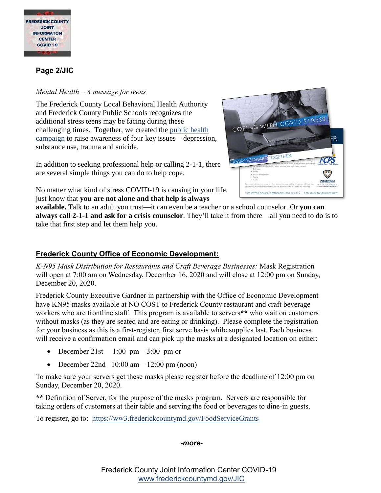

#### **Page 2/JIC**

#### *Mental Health – A message for teens*

The Frederick County Local Behavioral Health Authority and Frederick County Public Schools recognizes the additional stress teens may be facing during these challenging times. Together, we created the [public health](https://awayforwardtogether.org/teen/)  [campaign](https://awayforwardtogether.org/teen/) to raise awareness of four key issues – depression, substance use, trauma and suicide.

In addition to seeking professional help or calling 2-1-1, there are several simple things you can do to help cope.

No matter what kind of stress COVID-19 is causing in your li[fe,](https://awayforwardtogether.org/wp-content/uploads/2020/12/FRC061F-TEEN_HOT_CARD_F.pdf)  just know that **you are not alone and that help is always**



**available.** Talk to an adult you trust—it can even be a teacher or a school counselor. Or **you can always call 2-1-1 and ask for a crisis counselor**. They'll take it from there—all you need to do is to take that first step and let them help you.

## **Frederick County Office of Economic Development:**

*K-N95 Mask Distribution for Restaurants and Craft Beverage Businesses:* Mask Registration will open at 7:00 am on Wednesday, December 16, 2020 and will close at 12:00 pm on Sunday, December 20, 2020.

Frederick County Executive Gardner in partnership with the Office of Economic Development have KN95 masks available at NO COST to Frederick County restaurant and craft beverage workers who are frontline staff. This program is available to servers**\*\*** who wait on customers without masks (as they are seated and are eating or drinking). Please complete the registration for your business as this is a first-register, first serve basis while supplies last. Each business will receive a confirmation email and can pick up the masks at a designated location on either:

- December 21st  $1:00 \text{ pm} 3:00 \text{ pm or}$
- December 22nd  $10:00$  am  $-12:00$  pm (noon)

To make sure your servers get these masks please register before the deadline of 12:00 pm on Sunday, December 20, 2020.

**\*\*** Definition of Server, for the purpose of the masks program. Servers are responsible for taking orders of customers at their table and serving the food or beverages to dine-in guests.

To register, go to: <https://ww3.frederickcountymd.gov/FoodServiceGrants>

*-more-*